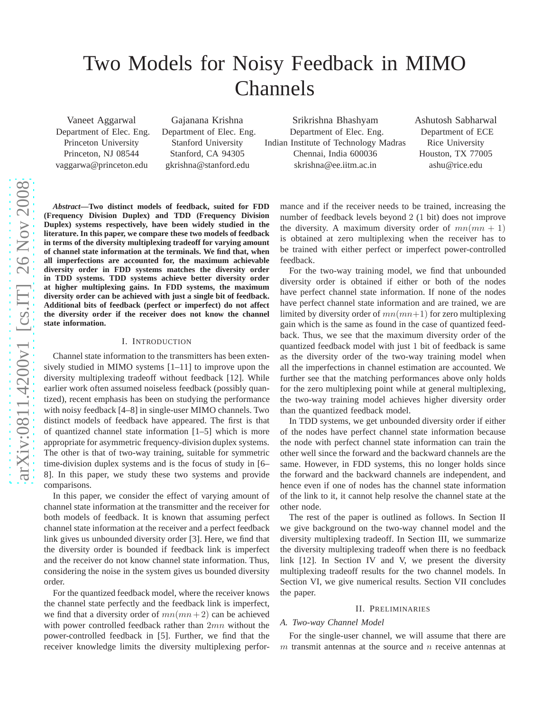# Two Models for Noisy Feedback in MIMO Channels

Vaneet Aggarwal Department of Elec. Eng. Princeton University Princeton, NJ 08544 vaggarwa@princeton.edu

Gajanana Krishna Department of Elec. Eng. Stanford University Stanford, CA 94305 gkrishna@stanford.edu

Srikrishna Bhashyam Department of Elec. Eng. Indian Institute of Technology Madras Chennai, India 600036 skrishna@ee.iitm.ac.in

Ashutosh Sabharwal Department of ECE Rice University Houston, TX 77005 ashu@rice.edu

*Abstract***—Two distinct models of feedback, suited for FDD (Frequency Division Duplex) and TDD (Frequency Division Duplex) systems respectively, have been widely studied in the literature. In this paper, we compare these two models of feedback in terms of the diversity multiplexing tradeoff for varying amount of channel state information at the terminals. We find that, when all imperfections are accounted for, the maximum achievable diversity order in FDD systems matches the diversity order in TDD systems. TDD systems achieve better diversity order at higher multiplexing gains. In FDD systems, the maximum diversity order can be achieved with just a single bit of feedback. Additional bits of feedback (perfect or imperfect) do not affect the diversity order if the receiver does not know the channel state information.**

## I. INTRODUCTION

Channel state information to the transmitters has been extensively studied in MIMO systems [1–11] to improve upon the diversity multiplexing tradeoff without feedback [12]. While earlier work often assumed noiseless feedback (possibly quantized), recent emphasis has been on studying the performance with noisy feedback [4–8] in single-user MIMO channels. Two distinct models of feedback have appeared. The first is that of quantized channel state information [1–5] which is more appropriate for asymmetric frequency-division duplex systems. The other is that of two-way training, suitable for symmetric time-division duplex systems and is the focus of study in [6– 8]. In this paper, we study these two systems and provide comparisons.

In this paper, we consider the effect of varying amount of channel state information at the transmitter and the receiver for both models of feedback. It is known that assuming perfect channel state information at the receiver and a perfect feedback link gives us unbounded diversity order [3]. Here, we find that the diversity order is bounded if feedback link is imperfect and the receiver do not know channel state information. Thus, considering the noise in the system gives us bounded diversity order.

For the quantized feedback model, where the receiver knows the channel state perfectly and the feedback link is imperfect, we find that a diversity order of  $mn(mn+2)$  can be achieved with power controlled feedback rather than  $2mn$  without the power-controlled feedback in [5]. Further, we find that the receiver knowledge limits the diversity multiplexing performance and if the receiver needs to be trained, increasing the number of feedback levels beyond 2 (1 bit) does not improve the diversity. A maximum diversity order of  $mn(mn + 1)$ is obtained at zero multiplexing when the receiver has to be trained with either perfect or imperfect power-controlled feedback.

For the two-way training model, we find that unbounded diversity order is obtained if either or both of the nodes have perfect channel state information. If none of the nodes have perfect channel state information and are trained, we are limited by diversity order of  $mn(mn+1)$  for zero multiplexing gain which is the same as found in the case of quantized feedback. Thus, we see that the maximum diversity order of the quantized feedback model with just 1 bit of feedback is same as the diversity order of the two-way training model when all the imperfections in channel estimation are accounted. We further see that the matching performances above only holds for the zero multiplexing point while at general multiplexing, the two-way training model achieves higher diversity order than the quantized feedback model.

In TDD systems, we get unbounded diversity order if either of the nodes have perfect channel state information because the node with perfect channel state information can train the other well since the forward and the backward channels are the same. However, in FDD systems, this no longer holds since the forward and the backward channels are independent, and hence even if one of nodes has the channel state information of the link to it, it cannot help resolve the channel state at the other node.

The rest of the paper is outlined as follows. In Section II we give background on the two-way channel model and the diversity multiplexing tradeoff. In Section III, we summarize the diversity multiplexing tradeoff when there is no feedback link [12]. In Section IV and V, we present the diversity multiplexing tradeoff results for the two channel models. In Section VI, we give numerical results. Section VII concludes the paper.

#### II. PRELIMINARIES

#### *A. Two-way Channel Model*

For the single-user channel, we will assume that there are  $m$  transmit antennas at the source and  $n$  receive antennas at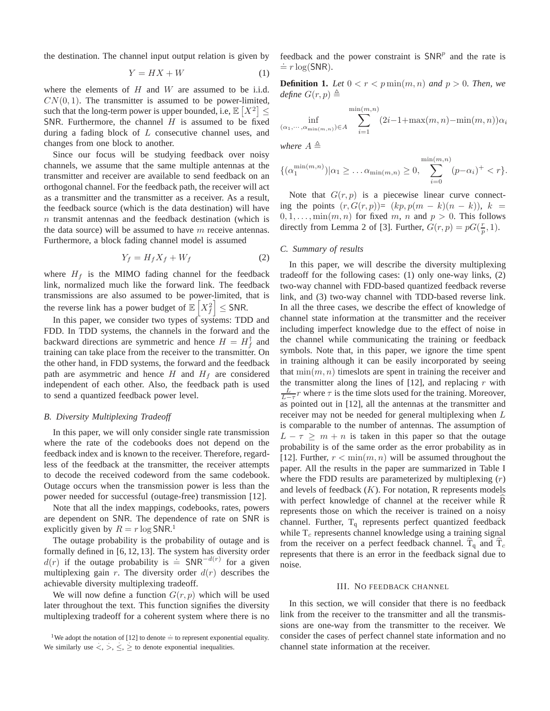the destination. The channel input output relation is given by

$$
Y = HX + W \tag{1}
$$

where the elements of  $H$  and  $W$  are assumed to be i.i.d.  $CN(0, 1)$ . The transmitter is assumed to be power-limited, such that the long-term power is upper bounded, i.e,  $\mathbb{E}[X^2] \leq$ SNR. Furthermore, the channel  $H$  is assumed to be fixed during a fading block of  $L$  consecutive channel uses, and changes from one block to another.

Since our focus will be studying feedback over noisy channels, we assume that the same multiple antennas at the transmitter and receiver are available to send feedback on an orthogonal channel. For the feedback path, the receiver will act as a transmitter and the transmitter as a receiver. As a result, the feedback source (which is the data destination) will have n transmit antennas and the feedback destination (which is the data source) will be assumed to have  $m$  receive antennas. Furthermore, a block fading channel model is assumed

$$
Y_f = H_f X_f + W_f \tag{2}
$$

where  $H_f$  is the MIMO fading channel for the feedback link, normalized much like the forward link. The feedback transmissions are also assumed to be power-limited, that is the reverse link has a power budget of  $\mathbb{E}\left[X_i^2\right]$  $\leq$  SNR.

In this paper, we consider two types of systems: TDD and FDD. In TDD systems, the channels in the forward and the backward directions are symmetric and hence  $H = H_f^{\dagger}$  and training can take place from the receiver to the transmitter. On the other hand, in FDD systems, the forward and the feedback path are asymmetric and hence  $H$  and  $H_f$  are considered independent of each other. Also, the feedback path is used to send a quantized feedback power level.

#### *B. Diversity Multiplexing Tradeoff*

In this paper, we will only consider single rate transmission where the rate of the codebooks does not depend on the feedback index and is known to the receiver. Therefore, regardless of the feedback at the transmitter, the receiver attempts to decode the received codeword from the same codebook. Outage occurs when the transmission power is less than the power needed for successful (outage-free) transmission [12].

Note that all the index mappings, codebooks, rates, powers are dependent on SNR. The dependence of rate on SNR is explicitly given by  $R = r \log SNR$ .<sup>1</sup>

The outage probability is the probability of outage and is formally defined in [6, 12, 13]. The system has diversity order d(r) if the outage probability is  $\dot{=}$  SNR<sup>-d(r)</sup> for a given multiplexing gain r. The diversity order  $d(r)$  describes the achievable diversity multiplexing tradeoff.

We will now define a function  $G(r, p)$  which will be used later throughout the text. This function signifies the diversity multiplexing tradeoff for a coherent system where there is no feedback and the power constraint is  $SNR<sup>p</sup>$  and the rate is  $\dot{=} r \log(SNR)$ .

**Definition 1.** Let  $0 < r < p \min(m, n)$  and  $p > 0$ . Then, we *define*  $G(r, p) \triangleq$ 

$$
\inf_{(\alpha_1,\dots,\alpha_{\min(m,n)})\in A} \sum_{i=1}^{\min(m,n)} (2i-1+\max(m,n)-\min(m,n))\alpha_i
$$

*where*  $A \triangleq$ 

$$
\{(\alpha_1^{\min(m,n)})|\alpha_1 \geq \dots \alpha_{\min(m,n)} \geq 0, \sum_{i=0}^{\min(m,n)} (p-\alpha_i)^+ < r\}.
$$

Note that  $G(r, p)$  is a piecewise linear curve connecting the points  $(r, G(r, p)) = (kp, p(m - k)(n - k))$ ,  $k =$  $0, 1, \ldots, \min(m, n)$  for fixed m, n and  $p > 0$ . This follows directly from Lemma 2 of [3]. Further,  $G(r, p) = pG(\frac{r}{p}, 1)$ .

# *C. Summary of results*

In this paper, we will describe the diversity multiplexing tradeoff for the following cases: (1) only one-way links, (2) two-way channel with FDD-based quantized feedback reverse link, and (3) two-way channel with TDD-based reverse link. In all the three cases, we describe the effect of knowledge of channel state information at the transmitter and the receiver including imperfect knowledge due to the effect of noise in the channel while communicating the training or feedback symbols. Note that, in this paper, we ignore the time spent in training although it can be easily incorporated by seeing that  $\min(m, n)$  timeslots are spent in training the receiver and the transmitter along the lines of  $[12]$ , and replacing r with  $\frac{L}{L-\tau}r$  where  $\tau$  is the time slots used for the training. Moreover, as pointed out in [12], all the antennas at the transmitter and receiver may not be needed for general multiplexing when L is comparable to the number of antennas. The assumption of  $L - \tau \geq m + n$  is taken in this paper so that the outage probability is of the same order as the error probability as in [12]. Further,  $r < \min(m, n)$  will be assumed throughout the paper. All the results in the paper are summarized in Table I where the FDD results are parameterized by multiplexing  $(r)$ and levels of feedback  $(K)$ . For notation, R represents models with perfect knowledge of channel at the receiver while R represents those on which the receiver is trained on a noisy channel. Further,  $T_q$  represents perfect quantized feedback while  $T_c$  represents channel knowledge using a training signal from the receiver on a perfect feedback channel.  $T_q$  and  $T_c$ represents that there is an error in the feedback signal due to noise.

#### III. NO FEEDBACK CHANNEL

In this section, we will consider that there is no feedback link from the receiver to the transmitter and all the transmissions are one-way from the transmitter to the receiver. We consider the cases of perfect channel state information and no channel state information at the receiver.

<sup>&</sup>lt;sup>1</sup>We adopt the notation of [12] to denote  $\dot{=}$  to represent exponential equality. We similarly use  $\langle , \rangle, \leq \rangle$  to denote exponential inequalities.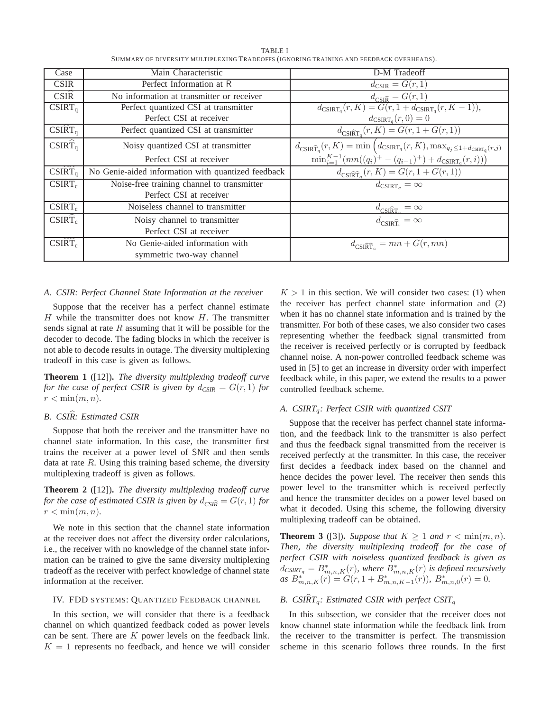| Case                        | Main Characteristic                                | D-M Tradeoff                                                                                                                                                                            |
|-----------------------------|----------------------------------------------------|-----------------------------------------------------------------------------------------------------------------------------------------------------------------------------------------|
| <b>CSIR</b>                 | Perfect Information at R                           | $d_{\text{CSIR}} = G(r, 1)$                                                                                                                                                             |
| CSIR                        | No information at transmitter or receiver          | $d_{\text{CSI}\widehat{\mathbf{R}}} = G(r,1)$                                                                                                                                           |
| $CSIRT_q$                   | Perfect quantized CSI at transmitter               | $d_{\text{CSIRT}_{q}}(r, K) = G(r, 1 + d_{\text{CSIRT}_{q}}(r, K - 1)),$                                                                                                                |
|                             | Perfect CSI at receiver                            | $d_{\text{CSIRT}_a}(r,0)=0$                                                                                                                                                             |
| CSIRT <sub>a</sub>          | Perfect quantized CSI at transmitter               | $d_{CSI\widehat{R}T_a}(r,K) = G(r, 1 + G(r, 1))$                                                                                                                                        |
| $CSIR\hat{T}_{q}$           | Noisy quantized CSI at transmitter                 | $d_{\textrm{CSIR}\widehat{\mathsf{T}}_{\mathsf{q}}}(r,K)=\min\left(d_{\textrm{CSIR}\mathsf{T}_{\mathsf{q}}}(r,K),\max_{q_j\leq 1+d_{\textrm{CSIR}\mathsf{T}_{\mathsf{q}}}(r,j)}\right.$ |
|                             | Perfect CSI at receiver                            | $\min_{i=1}^{K-1} (mn((q_i)^+ - (q_{i-1})^+) + d_{\text{CSIRT}_q}(r, i)))$                                                                                                              |
| $CSI\widehat{RT}_q$         | No Genie-aided information with quantized feedback | $d_{\text{CSIRT}_a}(r, K) = G(r, 1 + G(r, 1))$                                                                                                                                          |
| $\overline{\text{CSIRT}}_c$ | Noise-free training channel to transmitter         | $d_{\text{CSIRT}_c} = \infty$                                                                                                                                                           |
|                             | Perfect CSI at receiver                            |                                                                                                                                                                                         |
| $CSIRT_c$                   | Noiseless channel to transmitter                   | $d_{\text{CSI\^R_{\text{T}_c}}} = \infty$                                                                                                                                               |
| $CSIRT_c$                   | Noisy channel to transmitter                       | $d_{\text{CSIRT}_c} = \infty$                                                                                                                                                           |
|                             | Perfect CSI at receiver                            |                                                                                                                                                                                         |
| $CSIRT_c$                   | No Genie-aided information with                    | $d_{\text{CSI\!R}\widehat{\text{T}}_c} = mn + G(r, mn)$                                                                                                                                 |
|                             | symmetric two-way channel                          |                                                                                                                                                                                         |

TABLE I SUMMARY OF DIVERSITY MULTIPLEXING TRADEOFFS (IGNORING TRAINING AND FEEDBACK OVERHEADS).

## *A. CSIR: Perfect Channel State Information at the receiver*

Suppose that the receiver has a perfect channel estimate  $H$  while the transmitter does not know  $H$ . The transmitter sends signal at rate  $R$  assuming that it will be possible for the decoder to decode. The fading blocks in which the receiver is not able to decode results in outage. The diversity multiplexing tradeoff in this case is given as follows.

**Theorem 1** ([12])**.** *The diversity multiplexing tradeoff curve for the case of perfect CSIR is given by*  $d_{CSIR} = G(r, 1)$  *for*  $r < \min(m, n)$ .

# *B. CSIR: Estimated CSIR* b

Suppose that both the receiver and the transmitter have no channel state information. In this case, the transmitter first trains the receiver at a power level of SNR and then sends data at rate  $R$ . Using this training based scheme, the diversity multiplexing tradeoff is given as follows.

**Theorem 2** ([12])**.** *The diversity multiplexing tradeoff curve for the case of estimated CSIR is given by*  $d_{CS}(\widehat{R}) = G(r, 1)$  *for*  $r < \min(m, n)$ .

We note in this section that the channel state information at the receiver does not affect the diversity order calculations, i.e., the receiver with no knowledge of the channel state information can be trained to give the same diversity multiplexing tradeoff as the receiver with perfect knowledge of channel state information at the receiver.

# IV. FDD SYSTEMS: QUANTIZED FEEDBACK CHANNEL

In this section, we will consider that there is a feedback channel on which quantized feedback coded as power levels can be sent. There are  $K$  power levels on the feedback link.  $K = 1$  represents no feedback, and hence we will consider

 $K > 1$  in this section. We will consider two cases: (1) when the receiver has perfect channel state information and (2) when it has no channel state information and is trained by the transmitter. For both of these cases, we also consider two cases representing whether the feedback signal transmitted from the receiver is received perfectly or is corrupted by feedback channel noise. A non-power controlled feedback scheme was used in [5] to get an increase in diversity order with imperfect feedback while, in this paper, we extend the results to a power controlled feedback scheme.

# *A. CSIRT*q*: Perfect CSIR with quantized CSIT*

Suppose that the receiver has perfect channel state information, and the feedback link to the transmitter is also perfect and thus the feedback signal transmitted from the receiver is received perfectly at the transmitter. In this case, the receiver first decides a feedback index based on the channel and hence decides the power level. The receiver then sends this power level to the transmitter which is received perfectly and hence the transmitter decides on a power level based on what it decoded. Using this scheme, the following diversity multiplexing tradeoff can be obtained.

**Theorem 3** ([3]). *Suppose that*  $K \geq 1$  *and*  $r < \min(m, n)$ *. Then, the diversity multiplexing tradeoff for the case of perfect CSIR with noiseless quantized feedback is given as*  $d_{CSIRT_q} = B^*_{m,n,K}(r)$ , where  $B^*_{m,n,K}(r)$  *is defined recursively as*  $B_{m,n,K}^*(r) = G(r, 1 + B_{m,n,K-1}^*(r))$ ,  $B_{m,n,0}^*(r) = 0$ .

# *B.* CSIRT<sub>q</sub>: Estimated CSIR with perfect CSIT<sub>q</sub>

In this subsection, we consider that the receiver does not know channel state information while the feedback link from the receiver to the transmitter is perfect. The transmission scheme in this scenario follows three rounds. In the first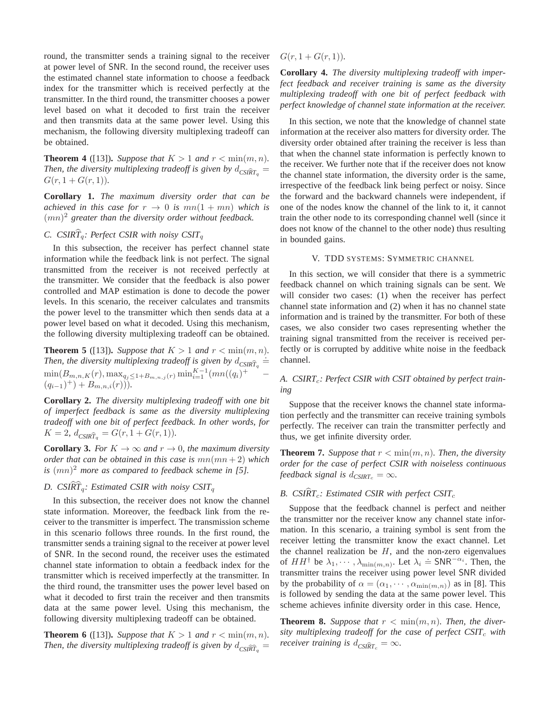round, the transmitter sends a training signal to the receiver at power level of SNR. In the second round, the receiver uses the estimated channel state information to choose a feedback index for the transmitter which is received perfectly at the transmitter. In the third round, the transmitter chooses a power level based on what it decoded to first train the receiver and then transmits data at the same power level. Using this mechanism, the following diversity multiplexing tradeoff can be obtained.

**Theorem 4** ([13]). *Suppose that*  $K > 1$  *and*  $r < \min(m, n)$ *. Then, the diversity multiplexing tradeoff is given by*  $d_{CSIRT_q}$  =  $G(r, 1 + G(r, 1)).$ 

**Corollary 1.** *The maximum diversity order that can be achieved in this case for*  $r \rightarrow 0$  *is*  $mn(1 + mn)$  *which is* (mn) <sup>2</sup> *greater than the diversity order without feedback.*

# *C. CSIR* $\hat{T}_q$ : Perfect CSIR with noisy CSIT<sub>q</sub>

In this subsection, the receiver has perfect channel state information while the feedback link is not perfect. The signal transmitted from the receiver is not received perfectly at the transmitter. We consider that the feedback is also power controlled and MAP estimation is done to decode the power levels. In this scenario, the receiver calculates and transmits the power level to the transmitter which then sends data at a power level based on what it decoded. Using this mechanism, the following diversity multiplexing tradeoff can be obtained.

**Theorem 5** ([13]). *Suppose that*  $K > 1$  *and*  $r < \min(m, n)$ *. Then, the diversity multiplexing tradeoff is given by*  $d_{CSIR\hat{T}_q}$   $\stackrel{\text{def}}{=}$  $\min(B_{m,n,K}(r), \max_{q_j \leq 1+B_{m,n,j}(r)} \min_{i=1}^{K-1} (mn((q_i)^+$  $(q_{i-1})^{+}) + B_{m,n,i}(r)$ 

**Corollary 2.** *The diversity multiplexing tradeoff with one bit of imperfect feedback is same as the diversity multiplexing tradeoff with one bit of perfect feedback. In other words, for*  $K = 2$ ,  $d_{CSIR\hat{T}_q} = G(r, 1 + G(r, 1)).$ 

**Corollary 3.** *For*  $K \to \infty$  *and*  $r \to 0$ *, the maximum diversity order that can be obtained in this case is*  $mn(mn+2)$  *which is* (mn) <sup>2</sup> *more as compared to feedback scheme in [5].*

# *D. CSIR* $\hat{T}_q$ : *Estimated CSIR with noisy CSIT*<sub>q</sub>

In this subsection, the receiver does not know the channel state information. Moreover, the feedback link from the receiver to the transmitter is imperfect. The transmission scheme in this scenario follows three rounds. In the first round, the transmitter sends a training signal to the receiver at power level of SNR. In the second round, the receiver uses the estimated channel state information to obtain a feedback index for the transmitter which is received imperfectly at the transmitter. In the third round, the transmitter uses the power level based on what it decoded to first train the receiver and then transmits data at the same power level. Using this mechanism, the following diversity multiplexing tradeoff can be obtained.

**Theorem 6** ([13]). *Suppose that*  $K > 1$  *and*  $r < \min(m, n)$ *. Then, the diversity multiplexing tradeoff is given by*  $d_{CSI\widehat{RT}_q} =$   $G(r, 1 + G(r, 1)).$ 

**Corollary 4.** *The diversity multiplexing tradeoff with imperfect feedback and receiver training is same as the diversity multiplexing tradeoff with one bit of perfect feedback with perfect knowledge of channel state information at the receiver.*

In this section, we note that the knowledge of channel state information at the receiver also matters for diversity order. The diversity order obtained after training the receiver is less than that when the channel state information is perfectly known to the receiver. We further note that if the receiver does not know the channel state information, the diversity order is the same, irrespective of the feedback link being perfect or noisy. Since the forward and the backward channels were independent, if one of the nodes know the channel of the link to it, it cannot train the other node to its corresponding channel well (since it does not know of the channel to the other node) thus resulting in bounded gains.

# V. TDD SYSTEMS: SYMMETRIC CHANNEL

In this section, we will consider that there is a symmetric feedback channel on which training signals can be sent. We will consider two cases: (1) when the receiver has perfect channel state information and (2) when it has no channel state information and is trained by the transmitter. For both of these cases, we also consider two cases representing whether the training signal transmitted from the receiver is received perfectly or is corrupted by additive white noise in the feedback channel.

# A. CSIRT<sub>c</sub>: Perfect CSIR with CSIT obtained by perfect train*ing*

Suppose that the receiver knows the channel state information perfectly and the transmitter can receive training symbols perfectly. The receiver can train the transmitter perfectly and thus, we get infinite diversity order.

**Theorem 7.** Suppose that  $r < \min(m, n)$ . Then, the diversity *order for the case of perfect CSIR with noiseless continuous feedback signal is*  $d_{CSIRTc} = \infty$ *.* 

# *B.* CSIRT<sub>c</sub>: Estimated CSIR with perfect CSIT<sub>c</sub>

Suppose that the feedback channel is perfect and neither the transmitter nor the receiver know any channel state information. In this scenario, a training symbol is sent from the receiver letting the transmitter know the exact channel. Let the channel realization be  $H$ , and the non-zero eigenvalues of  $HH^{\dagger}$  be  $\lambda_1, \dots, \lambda_{\min(m,n)}$ . Let  $\lambda_i \doteq \text{SNR}^{-\alpha_i}$ . Then, the transmitter trains the receiver using power level SNR divided by the probability of  $\alpha = (\alpha_1, \dots, \alpha_{\min(m,n)})$  as in [8]. This is followed by sending the data at the same power level. This scheme achieves infinite diversity order in this case. Hence,

**Theorem 8.** Suppose that  $r < \min(m, n)$ . Then, the diver*sity multiplexing tradeoff for the case of perfect CSIT*<sup>c</sup> *with receiver training is*  $d_{CSIRT_c} = \infty$ *.*